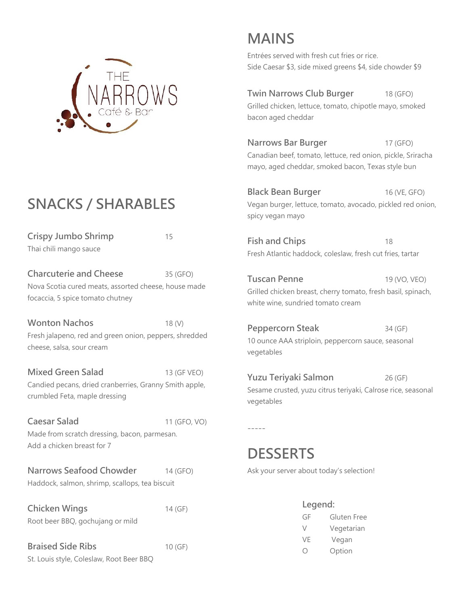

## **SNACKS / SHARABLES**

**Crispy Jumbo Shrimp** 15 Thai chili mango sauce

**Charcuterie and Cheese** 35 (GFO) Nova Scotia cured meats, assorted cheese, house made focaccia, 5 spice tomato chutney

**Wonton Nachos** 18 (V) Fresh jalapeno, red and green onion, peppers, shredded cheese, salsa, sour cream

**Mixed Green Salad** 13 (GF VEO) Candied pecans, dried cranberries, Granny Smith apple, crumbled Feta, maple dressing

**Caesar Salad** 11 (GFO, VO) Made from scratch dressing, bacon, parmesan. Add a chicken breast for 7

**Narrows Seafood Chowder** 14 (GFO) Haddock, salmon, shrimp, scallops, tea biscuit

**Chicken Wings** 14 (GF) Root beer BBQ, gochujang or mild

**Braised Side Ribs** 10 (GF) St. Louis style, Coleslaw, Root Beer BBQ

# **MAINS**

Entrées served with fresh cut fries or rice. Side Caesar \$3, side mixed greens \$4, side chowder \$9

**Twin Narrows Club Burger** 18 (GFO) Grilled chicken, lettuce, tomato, chipotle mayo, smoked bacon aged cheddar

**Narrows Bar Burger** 17 (GFO) Canadian beef, tomato, lettuce, red onion, pickle, Sriracha mayo, aged cheddar, smoked bacon, Texas style bun

**Black Bean Burger** 16 (VE, GFO) Vegan burger, lettuce, tomato, avocado, pickled red onion, spicy vegan mayo

**Fish and Chips** 18 Fresh Atlantic haddock, coleslaw, fresh cut fries, tartar

**Tuscan Penne** 19 (VO, VEO) Grilled chicken breast, cherry tomato, fresh basil, spinach, white wine, sundried tomato cream

**Peppercorn Steak** 34 (GF) 10 ounce AAA striploin, peppercorn sauce, seasonal vegetables

**Yuzu Teriyaki Salmon** 26 (GF) Sesame crusted, yuzu citrus teriyaki, Calrose rice, seasonal vegetables

-----

#### **DESSERTS**

Ask your server about today's selection!

| Legend: |             |  |
|---------|-------------|--|
| GF      | Gluten Free |  |
| $\vee$  | Vegetarian  |  |
| VF      | Vegan       |  |
|         | Option      |  |